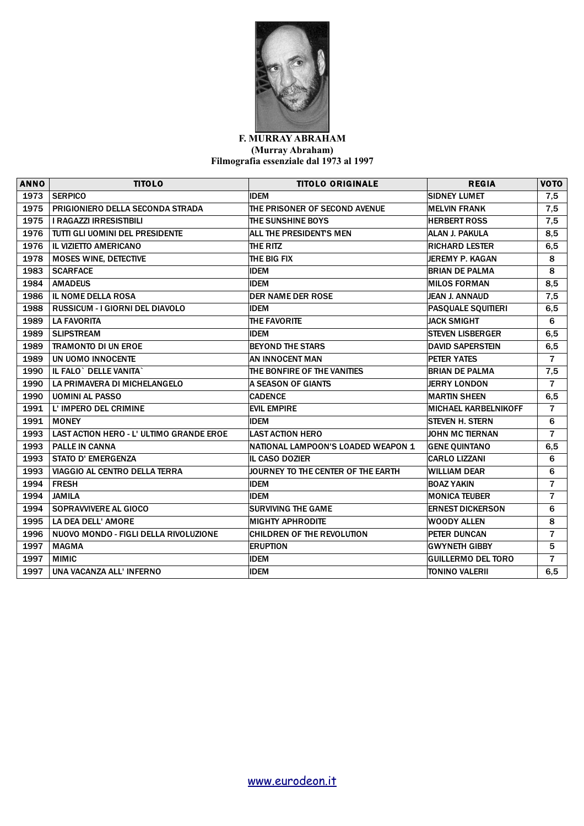

## **F. MURRAY ABRAHAM (Murray Abraham) Filmografia essenziale dal 1973 al 1997**

| <b>ANNO</b> | <b>TITOLO</b>                            | <b>TITOLO ORIGINALE</b>            | <b>REGIA</b>                | <b>VOTO</b>    |
|-------------|------------------------------------------|------------------------------------|-----------------------------|----------------|
| 1973        | <b>SERPICO</b>                           | <b>IDEM</b>                        | <b>SIDNEY LUMET</b>         | 7,5            |
| 1975        | PRIGIONIERO DELLA SECONDA STRADA         | THE PRISONER OF SECOND AVENUE      | <b>MELVIN FRANK</b>         | 7,5            |
| 1975        | <b>I RAGAZZI IRRESISTIBILI</b>           | THE SUNSHINE BOYS                  | <b>HERBERT ROSS</b>         | 7,5            |
| 1976        | TUTTI GLI UOMINI DEL PRESIDENTE          | ALL THE PRESIDENTS MEN             | ALAN J. PAKULA              | 8,5            |
| 1976        | IL VIZIETTO AMERICANO                    | THE RITZ                           | <b>RICHARD LESTER</b>       | 6,5            |
| 1978        | <b>MOSES WINE, DETECTIVE</b>             | THE BIG FIX                        | JEREMY P. KAGAN             | 8              |
| 1983        | <b>SCARFACE</b>                          | <b>IDEM</b>                        | <b>BRIAN DE PALMA</b>       | 8              |
| 1984        | <b>AMADEUS</b>                           | <b>IDEM</b>                        | <b>IMILOS FORMAN</b>        | 8,5            |
| 1986        | <b>IL NOME DELLA ROSA</b>                | <b>DER NAME DER ROSE</b>           | <b>JEAN J. ANNAUD</b>       | 7,5            |
| 1988        | <b>RUSSICUM - I GIORNI DEL DIAVOLO</b>   | <b>IDEM</b>                        | <b>PASQUALE SQUITIERI</b>   | 6,5            |
| 1989        | <b>LA FAVORITA</b>                       | THE FAVORITE                       | <b>JACK SMIGHT</b>          | 6              |
| 1989        | <b>SLIPSTREAM</b>                        | <b>IDEM</b>                        | <b>ISTEVEN LISBERGER</b>    | 6,5            |
| 1989        | <b>TRAMONTO DI UN EROE</b>               | <b>BEYOND THE STARS</b>            | <b>DAVID SAPERSTEIN</b>     | 6,5            |
| 1989        | UN UOMO INNOCENTE                        | AN INNOCENT MAN                    | <b>PETER YATES</b>          | $\overline{7}$ |
| 1990        | IL FALO` DELLE VANITA`                   | THE BONFIRE OF THE VANITIES        | <b>BRIAN DE PALMA</b>       | 7,5            |
| 1990        | LA PRIMAVERA DI MICHELANGELO             | A SEASON OF GIANTS                 | <b>JERRY LONDON</b>         | $\overline{7}$ |
| 1990        | <b>UOMINI AL PASSO</b>                   | <b>CADENCE</b>                     | <b>MARTIN SHEEN</b>         | 6,5            |
| 1991        | L' IMPERO DEL CRIMINE                    | <b>EVIL EMPIRE</b>                 | <b>MICHAEL KARBELNIKOFF</b> | $\overline{7}$ |
| 1991        | <b>MONEY</b>                             | <b>IDEM</b>                        | <b>STEVEN H. STERN</b>      | 6              |
| 1993        | LAST ACTION HERO - L' ULTIMO GRANDE EROE | <b>LAST ACTION HERO</b>            | JOHN MC TIERNAN             | $\overline{7}$ |
| 1993        | <b>PALLE IN CANNA</b>                    | NATIONAL LAMPOON'S LOADED WEAPON 1 | <b>GENE QUINTANO</b>        | 6,5            |
| 1993        | <b>STATO D' EMERGENZA</b>                | <b>IL CASO DOZIER</b>              | <b>CARLO LIZZANI</b>        | 6              |
| 1993        | VIAGGIO AL CENTRO DELLA TERRA            | JOURNEY TO THE CENTER OF THE EARTH | <b>WILLIAM DEAR</b>         | 6              |
| 1994        | <b>FRESH</b>                             | <b>IDEM</b>                        | <b>BOAZ YAKIN</b>           | $\overline{7}$ |
| 1994        | <b>JAMILA</b>                            | <b>IDEM</b>                        | <b>MONICA TEUBER</b>        | $\overline{7}$ |
| 1994        | SOPRAVVIVERE AL GIOCO                    | <b>SURVIVING THE GAME</b>          | <b>ERNEST DICKERSON</b>     | 6              |
| 1995        | LA DEA DELL' AMORE                       | <b>MIGHTY APHRODITE</b>            | <b>WOODY ALLEN</b>          | 8              |
| 1996        | NUOVO MONDO - FIGLI DELLA RIVOLUZIONE    | <b>CHILDREN OF THE REVOLUTION</b>  | PETER DUNCAN                | $\overline{7}$ |
| 1997        | <b>MAGMA</b>                             | <b>ERUPTION</b>                    | <b>GWYNETH GIBBY</b>        | 5              |
| 1997        | <b>MIMIC</b>                             | <b>IDEM</b>                        | <b>GUILLERMO DEL TORO</b>   | $\overline{7}$ |
| 1997        | UNA VACANZA ALL'INFERNO                  | <b>IDEM</b>                        | TONINO VALERII              | 6,5            |